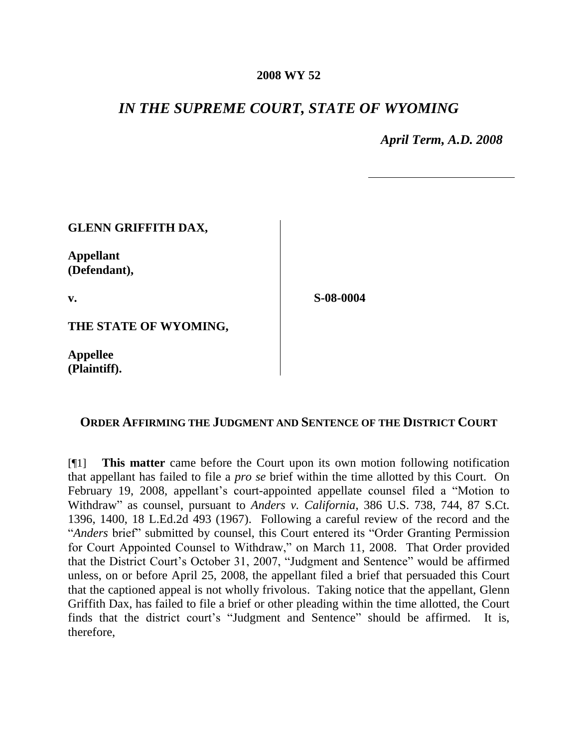## **2008 WY 52**

## *IN THE SUPREME COURT, STATE OF WYOMING*

*April Term, A.D. 2008*

| <b>GLENN GRIFFITH DAX,</b>       |           |
|----------------------------------|-----------|
| <b>Appellant</b><br>(Defendant), |           |
| $\mathbf{v}$ .                   | S-08-0004 |
| THE STATE OF WYOMING,            |           |

**Appellee (Plaintiff).**

**ORDER AFFIRMING THE JUDGMENT AND SENTENCE OF THE DISTRICT COURT**

[¶1] **This matter** came before the Court upon its own motion following notification that appellant has failed to file a *pro se* brief within the time allotted by this Court. On February 19, 2008, appellant's court-appointed appellate counsel filed a "Motion to Withdraw" as counsel, pursuant to *Anders v. California*, 386 U.S. 738, 744, 87 S.Ct. 1396, 1400, 18 L.Ed.2d 493 (1967). Following a careful review of the record and the "*Anders* brief" submitted by counsel, this Court entered its "Order Granting Permission for Court Appointed Counsel to Withdraw," on March 11, 2008. That Order provided that the District Court's October 31, 2007, "Judgment and Sentence" would be affirmed unless, on or before April 25, 2008, the appellant filed a brief that persuaded this Court that the captioned appeal is not wholly frivolous. Taking notice that the appellant, Glenn Griffith Dax, has failed to file a brief or other pleading within the time allotted, the Court finds that the district court's "Judgment and Sentence" should be affirmed. It is, therefore,